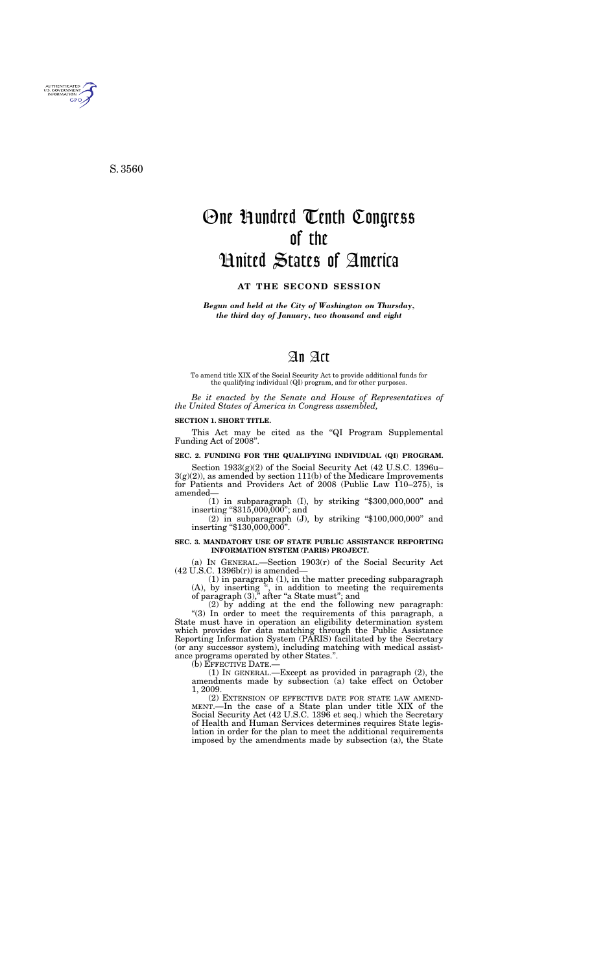*Begun and held at the City of Washington on Thursday, the third day of January, two thousand and eight* 

# An Act

To amend title XIX of the Social Security Act to provide additional funds for the qualifying individual (QI) program, and for other purposes.

*Be it enacted by the Senate and House of Representatives of the United States of America in Congress assembled,* 

#### **SECTION 1. SHORT TITLE.**

This Act may be cited as the ''QI Program Supplemental Funding Act of 2008''.

## **SEC. 2. FUNDING FOR THE QUALIFYING INDIVIDUAL (QI) PROGRAM.**

Section 1933(g)(2) of the Social Security Act (42 U.S.C. 1396u–  $3(g)(2)$ , as amended by section 111(b) of the Medicare Improvements for Patients and Providers Act of 2008 (Public Law 110–275), is amended—

 $(1)$  in subparagraph  $(I)$ , by striking "\$300,000,000" and inserting ''\$315,000,000''; and

 $(2)$  in subparagraph  $(J)$ , by striking "\$100,000,000" and inserting ''\$130,000,000''.

#### **SEC. 3. MANDATORY USE OF STATE PUBLIC ASSISTANCE REPORTING INFORMATION SYSTEM (PARIS) PROJECT.**

(a) IN GENERAL.—Section 1903(r) of the Social Security Act  $(42 \text{ U.S.C. } 1396b(r))$  is amended—

(1) in paragraph (1), in the matter preceding subparagraph (A), by inserting '', in addition to meeting the requirements of paragraph (3)," after "a State must"; and

(2) by adding at the end the following new paragraph: "(3) In order to meet the requirements of this paragraph, a State must have in operation an eligibility determination system which provides for data matching through the Public Assistance Reporting Information System (PARIS) facilitated by the Secretary (or any successor system), including matching with medical assistance programs operated by other States.''.

(b) EFFECTIVE DATE.—

(1) IN GENERAL.—Except as provided in paragraph (2), the amendments made by subsection (a) take effect on October 1, 2009.<br>
(2) EXTENSION OF EFFECTIVE DATE FOR STATE LAW AMEND-

MENT.—In the case of a State plan under title XIX of the Social Security Act (42 U.S.C. 1396 et seq.) which the Secretary of Health and Human Services determines requires State legislation in order for the plan to meet the additional requirements imposed by the amendments made by subsection (a), the State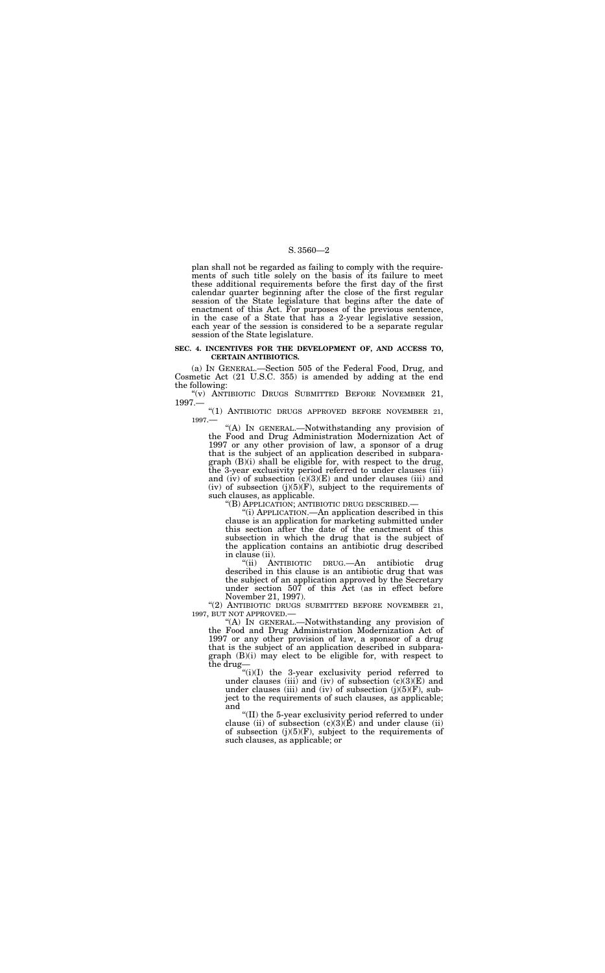plan shall not be regarded as failing to comply with the requirements of such title solely on the basis of its failure to meet these additional requirements before the first day of the first calendar quarter beginning after the close of the first regular session of the State legislature that begins after the date of enactment of this Act. For purposes of the previous sentence, in the case of a State that has a 2-year legislative session, each year of the session is considered to be a separate regular session of the State legislature.

"(v) ANTIBIOTIC DRUGS SUBMITTED BEFORE NOVEMBER 21, 1997.—

#### **SEC. 4. INCENTIVES FOR THE DEVELOPMENT OF, AND ACCESS TO, CERTAIN ANTIBIOTICS.**

(a) IN GENERAL.—Section 505 of the Federal Food, Drug, and Cosmetic Act (21 U.S.C. 355) is amended by adding at the end the following:

''(1) ANTIBIOTIC DRUGS APPROVED BEFORE NOVEMBER 21, 1997.—

"(2) ANTIBIOTIC DRUGS SUBMITTED BEFORE NOVEMBER 21, 1997, BUT NOT APPROVED.—

''(A) IN GENERAL.—Notwithstanding any provision of the Food and Drug Administration Modernization Act of 1997 or any other provision of law, a sponsor of a drug that is the subject of an application described in subparagraph (B)(i) shall be eligible for, with respect to the drug, the 3-year exclusivity period referred to under clauses (iii) and (iv) of subsection  $(c)(3)(E)$  and under clauses (iii) and (iv) of subsection  $(j)(5)(F)$ , subject to the requirements of such clauses, as applicable.

''(B) APPLICATION; ANTIBIOTIC DRUG DESCRIBED.—

''(i) APPLICATION.—An application described in this clause is an application for marketing submitted under this section after the date of the enactment of this subsection in which the drug that is the subject of the application contains an antibiotic drug described in clause (ii).

''(ii) ANTIBIOTIC DRUG.—An antibiotic drug described in this clause is an antibiotic drug that was the subject of an application approved by the Secretary under section 507 of this Act (as in effect before November 21, 1997).

''(A) IN GENERAL.—Notwithstanding any provision of the Food and Drug Administration Modernization Act of 1997 or any other provision of law, a sponsor of a drug that is the subject of an application described in subparagraph (B)(i) may elect to be eligible for, with respect to the drug—

''(i)(I) the 3-year exclusivity period referred to under clauses (iii) and (iv) of subsection  $(c)(3)(E)$  and under clauses (iii) and (iv) of subsection  $(j)(5)(F)$ , subject to the requirements of such clauses, as applicable; and

''(II) the 5-year exclusivity period referred to under clause (ii) of subsection  $(c)(3)(E)$  and under clause (ii) of subsection  $(j)(5)(F)$ , subject to the requirements of such clauses, as applicable; or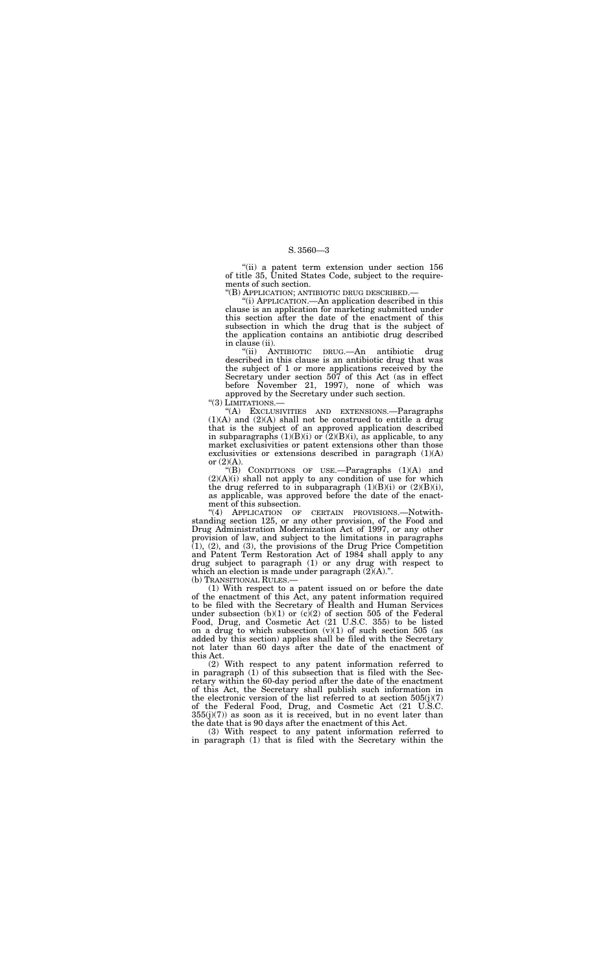''(ii) a patent term extension under section 156 of title 35, United States Code, subject to the requirements of such section.

''(B) APPLICATION; ANTIBIOTIC DRUG DESCRIBED.—

''(i) APPLICATION.—An application described in this clause is an application for marketing submitted under this section after the date of the enactment of this subsection in which the drug that is the subject of the application contains an antibiotic drug described in clause (ii).

''(A) EXCLUSIVITIES AND EXTENSIONS.—Paragraphs  $(1)(A)$  and  $(2)(A)$  shall not be construed to entitle a drug that is the subject of an approved application described in subparagraphs  $(1)(B)(i)$  or  $(2)(B)(i)$ , as applicable, to any market exclusivities or patent extensions other than those exclusivities or extensions described in paragraph  $(1)(A)$ or  $(2)(A)$ .

''(ii) ANTIBIOTIC DRUG.—An antibiotic drug described in this clause is an antibiotic drug that was the subject of 1 or more applications received by the Secretary under section 507 of this Act (as in effect before November 21, 1997), none of which was approved by the Secretary under such section.

"(3) LIMITATIONS.-

''(B) CONDITIONS OF USE.—Paragraphs (1)(A) and  $(2)(A)(i)$  shall not apply to any condition of use for which the drug referred to in subparagraph  $(1)(B)(i)$  or  $(2)(B)(i)$ , as applicable, was approved before the date of the enact-

ment of this subsection.<br>
"(4) APPLICATION OF CERTAIN PROVISIONS.-Notwithstanding section 125, or any other provision, of the Food and Drug Administration Modernization Act of 1997, or any other provision of law, and subject to the limitations in paragraphs  $(1)$ ,  $(2)$ , and  $(3)$ , the provisions of the Drug Price Competition and Patent Term Restoration Act of 1984 shall apply to any drug subject to paragraph (1) or any drug with respect to which an election is made under paragraph  $(2)(A)$ .".

(b) TRANSITIONAL RULES.—

(1) With respect to a patent issued on or before the date of the enactment of this Act, any patent information required to be filed with the Secretary of Health and Human Services under subsection  $(b)(1)$  or  $(c)(2)$  of section 505 of the Federal Food, Drug, and Cosmetic Act (21 U.S.C. 355) to be listed on a drug to which subsection  $(v)(1)$  of such section 505 (as added by this section) applies shall be filed with the Secretary not later than 60 days after the date of the enactment of this Act.

(2) With respect to any patent information referred to in paragraph (1) of this subsection that is filed with the Secretary within the 60-day period after the date of the enactment of this Act, the Secretary shall publish such information in the electronic version of the list referred to at section  $505(j)(7)$ of the Federal Food, Drug, and Cosmetic Act (21 U.S.C.  $355(j)(7)$ ) as soon as it is received, but in no event later than the date that is 90 days after the enactment of this Act.

(3) With respect to any patent information referred to in paragraph (1) that is filed with the Secretary within the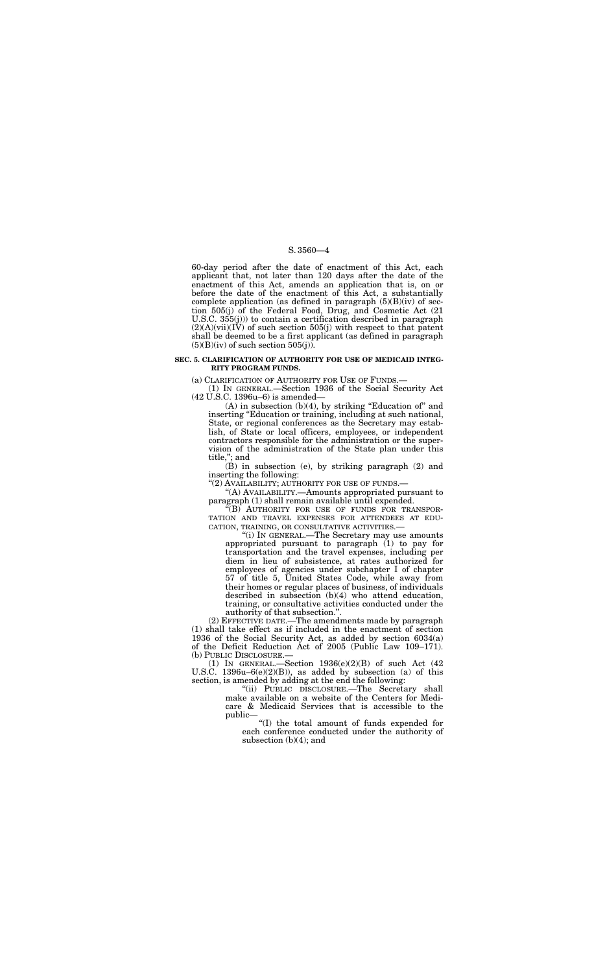60-day period after the date of enactment of this Act, each applicant that, not later than 120 days after the date of the enactment of this Act, amends an application that is, on or before the date of the enactment of this Act, a substantially complete application (as defined in paragraph  $(5)(B)(iv)$  of section 505(j) of the Federal Food, Drug, and Cosmetic Act (21 U.S.C. 355(j))) to contain a certification described in paragraph  $(2)(A)(vii)(I\check{V})$  of such section 505(j) with respect to that patent shall be deemed to be a first applicant (as defined in paragraph  $(5)(B)(iv)$  of such section  $505(j)$ .

 $(A)$  in subsection  $(b)(4)$ , by striking "Education of" and inserting "Education or training, including at such national, State, or regional conferences as the Secretary may establish, of State or local officers, employees, or independent contractors responsible for the administration or the supervision of the administration of the State plan under this title,''; and

## **SEC. 5. CLARIFICATION OF AUTHORITY FOR USE OF MEDICAID INTEG-RITY PROGRAM FUNDS.**

(a) CLARIFICATION OF AUTHORITY FOR USE OF FUNDS.—

(1) IN GENERAL.—Section 1936 of the Social Security Act (42 U.S.C. 1396u–6) is amended—

> ''(i) IN GENERAL.—The Secretary may use amounts appropriated pursuant to paragraph (1) to pay for transportation and the travel expenses, including per diem in lieu of subsistence, at rates authorized for employees of agencies under subchapter I of chapter 57 of title 5, United States Code, while away from their homes or regular places of business, of individuals described in subsection (b)(4) who attend education, training, or consultative activities conducted under the authority of that subsection."

(B) in subsection (e), by striking paragraph (2) and inserting the following:

"(2) AVAILABILITY; AUTHORITY FOR USE OF FUNDS.-

''(A) AVAILABILITY.—Amounts appropriated pursuant to paragraph (1) shall remain available until expended.

''(B) AUTHORITY FOR USE OF FUNDS FOR TRANSPOR-TATION AND TRAVEL EXPENSES FOR ATTENDEES AT EDU-CATION, TRAINING, OR CONSULTATIVE ACTIVITIES.—

(2) EFFECTIVE DATE.—The amendments made by paragraph (1) shall take effect as if included in the enactment of section 1936 of the Social Security Act, as added by section 6034(a) of the Deficit Reduction Act of 2005 (Public Law 109–171). (b) PUBLIC DISCLOSURE.—

(1) IN GENERAL.—Section 1936(e)(2)(B) of such Act (42 U.S.C. 1396u–6(e)(2)(B)), as added by subsection (a) of this section, is amended by adding at the end the following:

''(ii) PUBLIC DISCLOSURE.—The Secretary shall make available on a website of the Centers for Medicare & Medicaid Services that is accessible to the public—

''(I) the total amount of funds expended for each conference conducted under the authority of subsection (b)(4); and